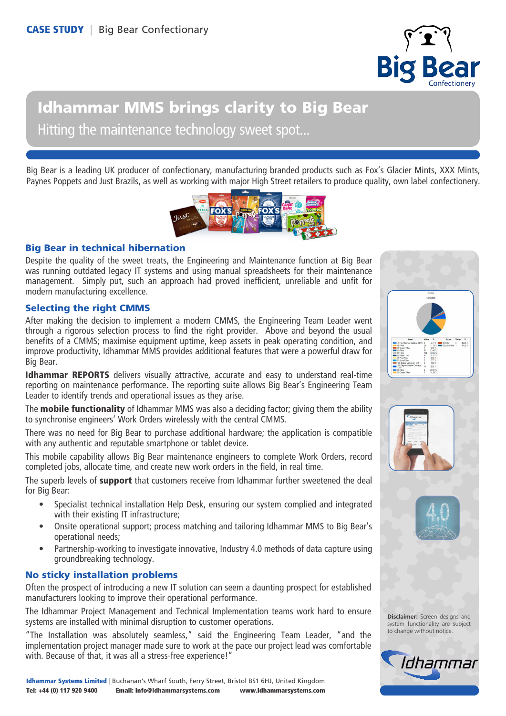

# Idhammar MMS brings clarity to Big Bear Hitting the maintenance technology sweet spot...

Big Bear is a leading UK producer of confectionary, manufacturing branded products such as Fox's Glacier Mints, XXX Mints, Paynes Poppets and Just Brazils, as well as working with major High Street retailers to produce quality, own label confectionery.



## Big Bear in technical hibernation

Despite the quality of the sweet treats, the Engineering and Maintenance function at Big Bear was running outdated legacy IT systems and using manual spreadsheets for their maintenance management. Simply put, such an approach had proved inefficient, unreliable and unfit for modern manufacturing excellence.

# Selecting the right CMMS

After making the decision to implement a modern CMMS, the Engineering Team Leader went through a rigorous selection process to find the right provider. Above and beyond the usual benefits of a CMMS; maximise equipment uptime, keep assets in peak operating condition, and improve productivity, Idhammar MMS provides additional features that were a powerful draw for Big Bear.

**Idhammar REPORTS** delivers visually attractive, accurate and easy to understand real-time reporting on maintenance performance. The reporting suite allows Big Bear's Engineering Team Leader to identify trends and operational issues as they arise.

The **mobile functionality** of Idhammar MMS was also a deciding factor; giving them the ability to synchronise engineers' Work Orders wirelessly with the central CMMS.

There was no need for Big Bear to purchase additional hardware; the application is compatible with any authentic and reputable smartphone or tablet device.

This mobile capability allows Big Bear maintenance engineers to complete Work Orders, record completed jobs, allocate time, and create new work orders in the field, in real time.

The superb levels of **support** that customers receive from Idhammar further sweetened the deal for Big Bear:

- Specialist technical installation Help Desk, ensuring our system complied and integrated with their existing IT infrastructure;
- Onsite operational support; process matching and tailoring Idhammar MMS to Big Bear's operational needs;
- Partnership-working to investigate innovative, Industry 4.0 methods of data capture using groundbreaking technology.

## No sticky installation problems

Often the prospect of introducing a new IT solution can seem a daunting prospect for established manufacturers looking to improve their operational performance.

The Idhammar Project Management and Technical Implementation teams work hard to ensure systems are installed with minimal disruption to customer operations.

"The Installation was absolutely seamless," said the Engineering Team Leader, "and the implementation project manager made sure to work at the pace our project lead was comfortable with. Because of that, it was all a stress-free experience!"